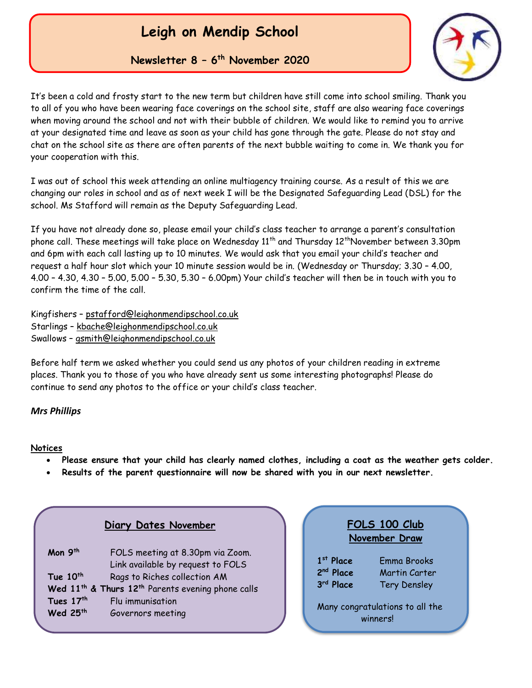# **Leigh on Mendip School**

**Newsletter 8 – 6 th November 2020**



It's been a cold and frosty start to the new term but children have still come into school smiling. Thank you to all of you who have been wearing face coverings on the school site, staff are also wearing face coverings when moving around the school and not with their bubble of children. We would like to remind you to arrive at your designated time and leave as soon as your child has gone through the gate. Please do not stay and chat on the school site as there are often parents of the next bubble waiting to come in. We thank you for your cooperation with this.

I was out of school this week attending an online multiagency training course. As a result of this we are changing our roles in school and as of next week I will be the Designated Safeguarding Lead (DSL) for the school. Ms Stafford will remain as the Deputy Safeguarding Lead.

If you have not already done so, please email your child's class teacher to arrange a parent's consultation phone call. These meetings will take place on Wednesday  $11^{th}$  and Thursday  $12^{th}$ November between 3.30pm and 6pm with each call lasting up to 10 minutes. We would ask that you email your child's teacher and request a half hour slot which your 10 minute session would be in. (Wednesday or Thursday; 3.30 – 4.00, 4.00 – 4.30, 4.30 – 5.00, 5.00 – 5.30, 5.30 – 6.00pm) Your child's teacher will then be in touch with you to confirm the time of the call.

Kingfishers – [pstafford@leighonmendipschool.co.uk](mailto:pstafford@leighonmendipschool.co.uk) Starlings – [kbache@leighonmendipschool.co.uk](mailto:kbache@leighonmendipschool.co.uk) Swallows – [gsmith@leighonmendipschool.co.uk](mailto:gsmith@leighonmendipschool.co.uk)

Before half term we asked whether you could send us any photos of your children reading in extreme places. Thank you to those of you who have already sent us some interesting photographs! Please do continue to send any photos to the office or your child's class teacher.

#### *Mrs Phillips*

#### **Notices**

- **Please ensure that your child has clearly named clothes, including a coat as the weather gets colder.**
- **Results of the parent questionnaire will now be shared with you in our next newsletter.**

|                                                | <b>Diary Dates November</b>                                                                                                                                                                                                 | FOLS 100 Club<br>November Draw                                                                                                                          |
|------------------------------------------------|-----------------------------------------------------------------------------------------------------------------------------------------------------------------------------------------------------------------------------|---------------------------------------------------------------------------------------------------------------------------------------------------------|
| Mon 9th<br>Tue 10th<br>Tues 17th<br>Wed $25th$ | FOLS meeting at 8.30pm via Zoom.<br>Link available by request to FOLS<br>Rags to Riches collection AM<br>Wed 11 <sup>th</sup> & Thurs 12 <sup>th</sup> Parents evening phone calls<br>Flu immunisation<br>Governors meeting | $1st$ Place<br>Emma Brooks<br>2 <sup>nd</sup> Place<br>Martin Carter<br>3rd Place<br><b>Tery Densley</b><br>Many congratulations to all the<br>winners! |